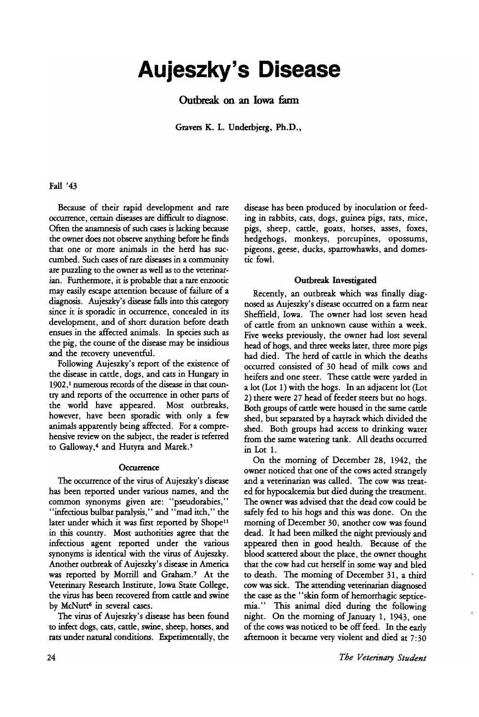# Aujeszky's Disease

Outbreak on an Iowa farm

Gravers K. L. Underbjerg, Ph.D.,

## Fall '43

Because of their rapid development and rare occurrence, certain diseases are difficult to diagnose. Often the anamnesis of such cases is lacking because the owner does not observe anything before he finds that one or more animals in the herd has succumbed. Such cases of rare diseases in a community are puzzling to the owner as well as to the veterinarian. Furthermore, it is probable that a rare enzootic may easily escape attention because of failure of a diagnosis. Aujeszky's disease falls into this category since it is sporadic in occurrence, concealed in its development, and of short duration before death ensues in the affected animals. In species such as the pig, the course of the disease may be insidious and the recovery uneventful.

Following Aujeszky's report of the existence of the disease in cattle, dogs, and cats in Hungary in 1902,<sup>1</sup> numerous records of the disease in that country and reports of the occurrence in other pans of the world have appeared. Most outbreaks, however, have been sporadic with only a few animals apparently being affected. For a comprehensive review on the subject, the reader is referred to Galloway,<sup>4</sup> and Hutyra and Marek.<sup>5</sup>

#### **Occurrence**

The occurrence of the virus of Aujeszky's disease<br>has been reported under various names, and the has been reponed under various names, and the common synonyms given are: "pseudorabies," "infectious bulbar paralysis," and "mad itch," the later under which it was first reported by Shope<sup>11</sup> in this country. Most authorities agree that the infectious agent reponed under the various synonyms is identical with the virus of Aujeszky. Another outbreak of Aujeszky's disease in America was reported by Morrill and Graham.<sup>7</sup> At the Veterinary Research Institute, Iowa State College, Veterinary Research Institute, Iowa State College, the virus has been recovered from cattle and swine by McNutt<sup>6</sup> in several cases.

The virus of Aujeszky's disease has been found to infect dogs, cats, cattle, swine, sheep, horses, and rats under natural conditions. Experimentally, the disease has been produced by inoculation or feeding in rabbits, cats, dogs, guinea pigs, rats, mice, pigs, sheep, cattle, goats, horses, asses, foxes, hedgehogs, monkeys, porcupines, opossums, pigeons, geese, ducks, sparrowhawks, and domestic fowl.

## Outbreak Investigated

Recently, an outbreak which was finally diagnosed as Aujeszky's disease occurred on a farm near Sheffield, Iowa. The owner had lost seven head of cattle from an unknown cause within a week. Five weeks previously, the owner had lost several head of hogs, and three weeks later, three more pigs had died. The herd of cattle in which the deaths occurred consisted of 30 head of milk cows and heifers and one steer. These cattle were yarded in a lot (Lot 1) with the hogs. In an adjacent lot (Lot 2) there were 27 head of feeder steers but no hogs. Both groups of cattle were housed in the same cattle shed, but separated by a hayrack which divided the shed. Both groups had access to drinking water from the same watering tank. All deaths occurred in Lot 1.

On the morning of December 28, 1942, the owner noticed that one of the cows acted strangely and a veterinarian was called. The cow was treated for hypocalcemia but died during the treatment. The owner was advised that the dead cow could be safely fed to his hogs and this was done. On the morning of December 30, another cow was found dead. It had been milked the night previously and appeared then in good health. Because of the blood scattered about the place, the owner thought that the cow had cut herself in some way and bled to death. The morning of December 31, a third<br>cow was sick. The attending veterinarian diagnosed cow was sick. The attending veterinarian diagnosed the case as the  $\frac{1}{3}$  skin form of hemorrhagic septicemia." This animal died during the following night. On the morning of January 1, 1943, one of the cows was noticed to be off feed. In the early afternoon it became very violent and died at 7:30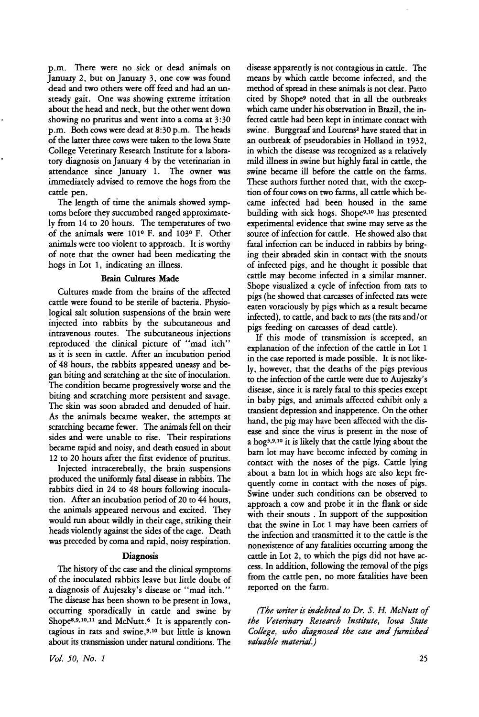p.m. There were no sick or dead animals on January 2, but on January 3, one cow was found dead and two others were off feed and had an unsteady gait. One was showing extreme irritation about the head and neck, but the other went down showing no pruritus and went into a coma at 3:30 p.m. Both cows were dead at 8:30 p.m. The heads of the latter three cows were taken to the Iowa State College Veterinary Research Institute for a laboratory diagnosis on January 4 by the veterinarian in attendance since January 1. The owner was immediately advised to remove the hogs from the cattle pen.

The length of time the animals showed symptoms before they succumbed ranged approximately from 14 to 20 hours. The temperatures of two of the animals were 1010 F. and 1030 F. Other animals were too violent to appreach. It is worthy of note that the owner had been medicating the hogs in Lot 1, indicating an illness.

#### Brain Cultures Made

Cultures made from the brains of the affected cattle were found to be sterile of bacteria. Physiological salt solution suspensions of the brain were injected into rabbits by the subcutaneous and intravenous routes. The subcutaneous injections reproduced the clinical picture of "mad itch" as it is seen in cattle. After an incubation period of 48 hours, the rabbits appeared uneasy and began biting and scratching at the site of inoculation. The condition became progressively worse and the biting and scratching more persistent and savage. The skin was soon abraded and denuded of hair. As the animals became weaker, the attempts at scratching became fewer. The animals fell on their sides and were unable to rise. Their respirations became rapid and noisy, and death ensued in about 12 to 20 hours after the first evidence of pruritus.

Injected intracerebrally, the brain suspensions produced the uniformly fatal disease in rabbits. The rabbits died in 24 to 48 hours following inoculation. After an incubation period of 20 to 44 hours, the animals appeared nervous and excited. They would run about wildly in their cage, striking their heads violently against the sides of the cage. Death was preceded by coma and rapid, noisy respiration.

## **Diagnosis**

The history of the case and the clinical symptoms of the inoculated rabbits leave but little doubt of a diagnosis of Aujeszky's disease or "mad itch." The disease has been shown to be present in Iowa, occurring sporadically in cattle and swine by Shope<sup>8,9,10,11</sup> and McNutt.<sup>6</sup> It is apparently contagious in rats and swine,9,10 but little is known about its transmission under natural conditions. The

disease apparently is not contagious in cattle. The means by which cattle become infected, and the method of spread in these animals is not clear. Patto cited by Shope<sup>9</sup> noted that in all the outbreaks which came under his observation in Brazil, the infected cattle had been kept in intimate contact with swine. Burggraaf and Lourens<sup>2</sup> have stated that in an outbreak of pseudorabies in Holland in 1932, in which the disease was recognized as a relatively mild illness in swine but highly fatal in cattle, the swine became ill before the cattle on the farms. These authors further noted that, with the exception of four cows on two farms, all cattle which became infected had been housed in the same building with sick hogs. Shope9,10 has presented experimental evidence that swine may serve as the source of infection for cattle. He showed also that fatal infection can be induced in rabbits by bringing their abraded skin in contact with the snouts of infected pigs, and he thought it possible that cattle may become infected in a similar manner. Shope visualized a cycle of infection from rats to pigs (he showed that carcasses of infected rats were eaten voraciously by pigs which as a result became infected), to cattle, and back to rats (the rats and/or pigs feeding on carcasses of dead cattle).

If this mode of transmission is accepted, an explanation of the infection of the cattle in Lot 1 in the case reported is made possible. It is not likely, however, that the deaths of the pigs previous to the infection of the cattle were due to Aujeszky's disease, since it is rarely fatal to this species except in baby pigs, and animals affected exhibit only a transient depression and inappetence. On the other hand, the pig may have been affected with the disease and since the virus is present in the nose of a hog<sup>3</sup>,9,10 it is likely that the cattle lying about the barn lot may have become infected by coming in contact with the noses of the pigs. Cattle lying about a barn lot in which hogs are also kept frequently come in contact with the noses of pigs. Swine under such conditions can be observed to approach a cow and probe it in the flank or side with their snouts . In support of the supposition that the swine in Lot 1 may have been carriers of the infection and transmitted it to the cattle is the nonexistence of any fatalities occurring among the cattle in Lot 2, to which the pigs did not have access. In addition, following the removal of the pigs from the cattle pen, no more fatalities have been reported on the farm.

*(The writer is indebted to Dr. S.* H. *McNutt of the Veten'nary Research Institute, Iowa State College, who diagnosed the case and furnished valuable material.)*